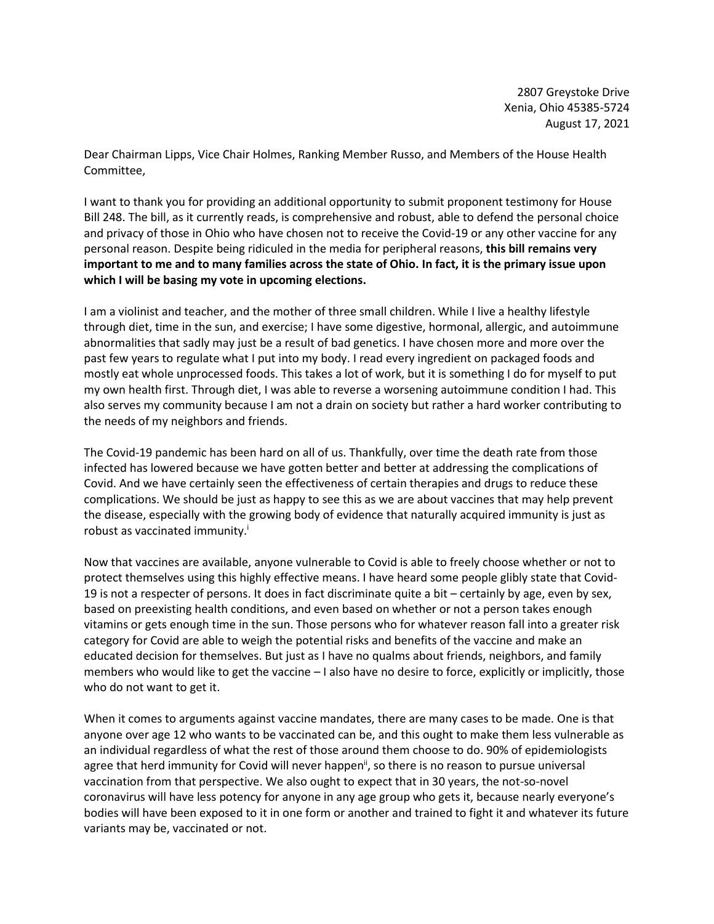2807 Greystoke Drive Xenia, Ohio 45385-5724 August 17, 2021

Dear Chairman Lipps, Vice Chair Holmes, Ranking Member Russo, and Members of the House Health Committee,

I want to thank you for providing an additional opportunity to submit proponent testimony for House Bill 248. The bill, as it currently reads, is comprehensive and robust, able to defend the personal choice and privacy of those in Ohio who have chosen not to receive the Covid-19 or any other vaccine for any personal reason. Despite being ridiculed in the media for peripheral reasons, **this bill remains very important to me and to many families across the state of Ohio. In fact, it is the primary issue upon which I will be basing my vote in upcoming elections.**

I am a violinist and teacher, and the mother of three small children. While I live a healthy lifestyle through diet, time in the sun, and exercise; I have some digestive, hormonal, allergic, and autoimmune abnormalities that sadly may just be a result of bad genetics. I have chosen more and more over the past few years to regulate what I put into my body. I read every ingredient on packaged foods and mostly eat whole unprocessed foods. This takes a lot of work, but it is something I do for myself to put my own health first. Through diet, I was able to reverse a worsening autoimmune condition I had. This also serves my community because I am not a drain on society but rather a hard worker contributing to the needs of my neighbors and friends.

The Covid-19 pandemic has been hard on all of us. Thankfully, over time the death rate from those infected has lowered because we have gotten better and better at addressing the complications of Covid. And we have certainly seen the effectiveness of certain therapies and drugs to reduce these complications. We should be just as happy to see this as we are about vaccines that may help prevent the disease, especially with the growing body of evidence that naturally acquired immunity is just as robust as vaccinated immunity.<sup>i</sup>

Now that vaccines are available, anyone vulnerable to Covid is able to freely choose whether or not to protect themselves using this highly effective means. I have heard some people glibly state that Covid-19 is not a respecter of persons. It does in fact discriminate quite a bit – certainly by age, even by sex, based on preexisting health conditions, and even based on whether or not a person takes enough vitamins or gets enough time in the sun. Those persons who for whatever reason fall into a greater risk category for Covid are able to weigh the potential risks and benefits of the vaccine and make an educated decision for themselves. But just as I have no qualms about friends, neighbors, and family members who would like to get the vaccine – I also have no desire to force, explicitly or implicitly, those who do not want to get it.

When it comes to arguments against vaccine mandates, there are many cases to be made. One is that anyone over age 12 who wants to be vaccinated can be, and this ought to make them less vulnerable as an individual regardless of what the rest of those around them choose to do. 90% of epidemiologists agree that herd immunity for Covid will never happen<sup>ii</sup>, so there is no reason to pursue universal vaccination from that perspective. We also ought to expect that in 30 years, the not-so-novel coronavirus will have less potency for anyone in any age group who gets it, because nearly everyone's bodies will have been exposed to it in one form or another and trained to fight it and whatever its future variants may be, vaccinated or not.